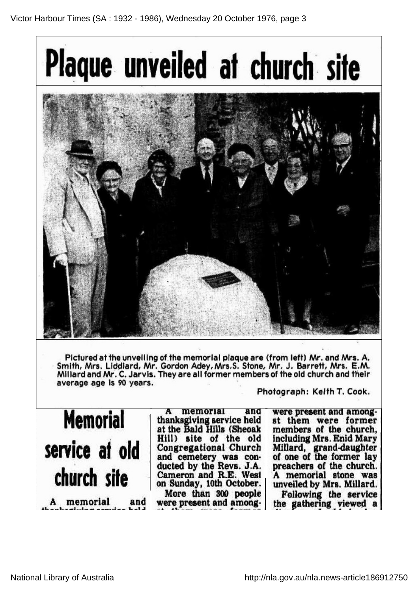

Pictured at the unveiling of the memorial plaque are (from left) Mr. and Mrs. A. Smith, Mrs. Liddiard, Mr. Gordon Adey, Mrs. S. Stone, Mr. J. Barrett, Mrs. E.M. Millard and Mr. C. Jarvis. They are all former members of the old church and their average age is 90 years.

Memorial service at old church site A memorial and

memorial and thanksgiving service held at the Bald Hills (Sheoak Hill) site of the old Congregational Church and cemetery was co ducted by the Revs. J.A. Cameron and R.E. West on Sunday, 10th October. More than 300 people were present and among

Photograph: Keith T. Cook.

were present and amongst them were former members of the church, including Mrs. Enid Mary Millard, grand-daughter of one of the former lay preachers of the church. A memorial stone was unveiled by Mrs. Millard. Following the service the gathering viewed <sup>a</sup>